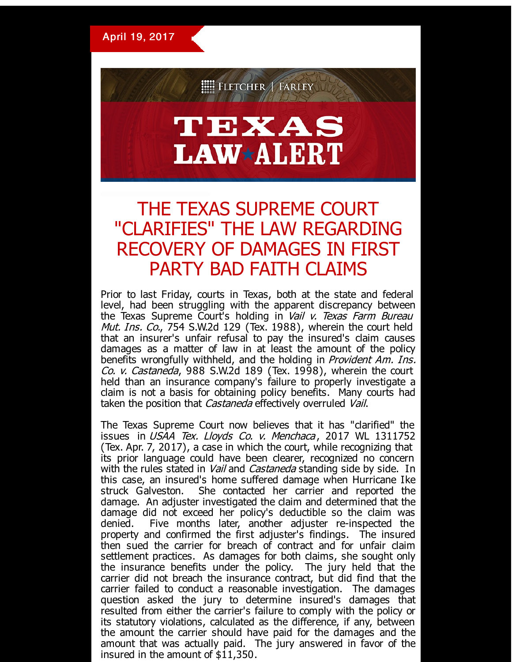April 19, 2017



## TEXAS **LAW\*ALERT**

## THE TEXAS SUPREME COURT "CLARIFIES" THE LAW REGARDING RECOVERY OF DAMAGES IN FIRST PARTY BAD FAITH CLAIMS

Prior to last Friday, courts in Texas, both at the state and federal level, had been struggling with the apparent discrepancy between the Texas Supreme Court's holding in *Vail v. Texas Farm Bureau* Mut. Ins. Co., 754 S.W.2d 129 (Tex. 1988), wherein the court held that an insurer's unfair refusal to pay the insured's claim causes damages as a matter of law in at least the amount of the policy benefits wrongfully withheld, and the holding in Provident Am. Ins. Co. v. Castaneda, 988 S.W.2d 189 (Tex. 1998), wherein the court held than an insurance company's failure to properly investigate a claim is not a basis for obtaining policy benefits. Many courts had taken the position that *Castaneda* effectively overruled Vail.

The Texas Supreme Court now believes that it has "clarified" the issues in USAA Tex. Lloyds Co. v. Menchaca, 2017 WL 1311752 (Tex. Apr. 7, 2017), a case in which the court, while recognizing that its prior language could have been clearer, recognized no concern with the rules stated in *Vail* and *Castaneda* standing side by side. In this case, an insured's home suffered damage when Hurricane Ike struck Galveston. She contacted her carrier and reported the damage. An adjuster investigated the claim and determined that the damage did not exceed her policy's deductible so the claim was denied. Five months later, another adjuster re-inspected the property and confirmed the first adjuster's findings. The insured then sued the carrier for breach of contract and for unfair claim settlement practices. As damages for both claims, she sought only the insurance benefits under the policy. The jury held that the carrier did not breach the insurance contract, but did find that the carrier failed to conduct a reasonable investigation. The damages question asked the jury to determine insured's damages that resulted from either the carrier's failure to comply with the policy or its statutory violations, calculated as the difference, if any, between the amount the carrier should have paid for the damages and the amount that was actually paid. The jury answered in favor of the insured in the amount of \$11,350.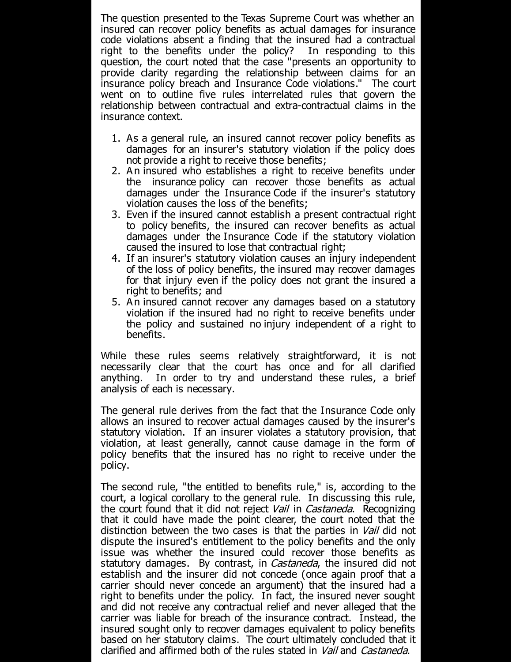The question presented to the Texas Supreme Court was whether an insured can recover policy benefits as actual damages for insurance code violations absent a finding that the insured had a contractual right to the benefits under the policy? In responding to this question, the court noted that the case "presents an opportunity to provide clarity regarding the relationship between claims for an insurance policy breach and Insurance Code violations." The court went on to outline five rules interrelated rules that govern the relationship between contractual and extra-contractual claims in the insurance context.

- 1. As a general rule, an insured cannot recover policy benefits as damages for an insurer's statutory violation if the policy does not provide a right to receive those benefits;
- 2. An insured who establishes a right to receive benefits under the insurance policy can recover those benefits as actual damages under the Insurance Code if the insurer's statutory violation causes the loss of the benefits;
- 3. Even if the insured cannot establish a present contractual right to policy benefits, the insured can recover benefits as actual damages under the Insurance Code if the statutory violation caused the insured to lose that contractual right;
- 4. If an insurer's statutory violation causes an injury independent of the loss of policy benefits, the insured may recover damages for that injury even if the policy does not grant the insured a right to benefits; and
- 5. A n insured cannot recover any damages based on a statutory violation if the insured had no right to receive benefits under the policy and sustained no injury independent of a right to benefits.

While these rules seems relatively straightforward, it is not necessarily clear that the court has once and for all clarified anything. In order to try and understand these rules, a brief analysis of each is necessary.

The general rule derives from the fact that the Insurance Code only allows an insured to recover actual damages caused by the insurer's statutory violation. If an insurer violates a statutory provision, that violation, at least generally, cannot cause damage in the form of policy benefits that the insured has no right to receive under the policy.

The second rule, "the entitled to benefits rule," is, according to the court, a logical corollary to the general rule. In discussing this rule, the court found that it did not reject *Vail* in *Castaneda*. Recognizing that it could have made the point clearer, the court noted that the distinction between the two cases is that the parties in *Vail* did not dispute the insured's entitlement to the policy benefits and the only issue was whether the insured could recover those benefits as statutory damages. By contrast, in *Castaneda*, the insured did not establish and the insurer did not concede (once again proof that a carrier should never concede an argument) that the insured had a right to benefits under the policy. In fact, the insured never sought and did not receive any contractual relief and never alleged that the carrier was liable for breach of the insurance contract. Instead, the insured sought only to recover damages equivalent to policy benefits based on her statutory claims. The court ultimately concluded that it clarified and affirmed both of the rules stated in Vail and Castaneda.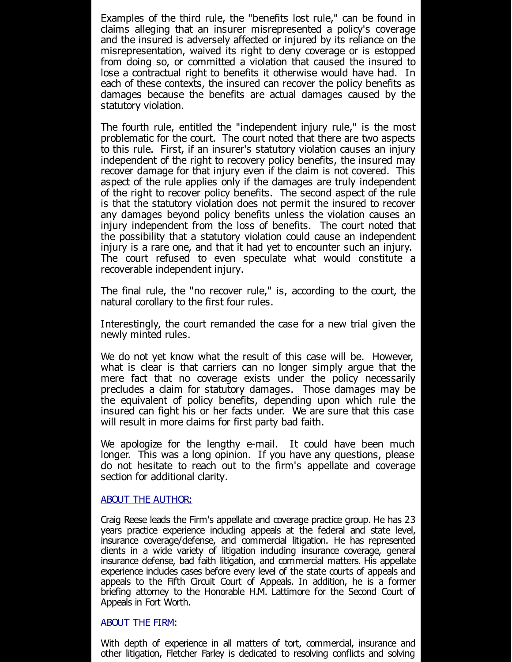Examples of the third rule, the "benefits lost rule," can be found in claims alleging that an insurer misrepresented a policy's coverage and the insured is adversely affected or injured by its reliance on the misrepresentation, waived its right to deny coverage or is estopped from doing so, or committed a violation that caused the insured to lose a contractual right to benefits it otherwise would have had. In each of these contexts, the insured can recover the policy benefits as damages because the benefits are actual damages caused by the statutory violation.

The fourth rule, entitled the "independent injury rule," is the most problematic for the court. The court noted that there are two aspects to this rule. First, if an insurer's statutory violation causes an injury independent of the right to recovery policy benefits, the insured may recover damage for that injury even if the claim is not covered. This aspect of the rule applies only if the damages are truly independent of the right to recover policy benefits. The second aspect of the rule is that the statutory violation does not permit the insured to recover any damages beyond policy benefits unless the violation causes an injury independent from the loss of benefits. The court noted that the possibility that a statutory violation could cause an independent injury is a rare one, and that it had yet to encounter such an injury. The court refused to even speculate what would constitute a recoverable independent injury.

The final rule, the "no recover rule," is, according to the court, the natural corollary to the first four rules.

Interestingly, the court remanded the case for a new trial given the newly minted rules.

We do not yet know what the result of this case will be. However, what is clear is that carriers can no longer simply argue that the mere fact that no coverage exists under the policy necessarily precludes a claim for statutory damages. Those damages may be the equivalent of policy benefits, depending upon which rule the insured can fight his or her facts under. We are sure that this case will result in more claims for first party bad faith.

We apologize for the lengthy e-mail. It could have been much longer. This was a long opinion. If you have any questions, please do not hesitate to reach out to the firm's appellate and coverage section for additional clarity.

## ABOUT THE AUTHOR:

Craig Reese leads the Firm's appellate and coverage practice group. He has 23 years practice experience including appeals at the federal and state level, insurance coverage/defense, and commercial litigation. He has represented clients in a wide variety of litigation including insurance coverage, general insurance defense, bad faith litigation, and commercial matters. His appellate experience includes cases before every level of the state courts of appeals and appeals to the Fifth Circuit Court of Appeals. In addition, he is a former briefing attorney to the Honorable H.M. Lattimore for the Second Court of Appeals in Fort Worth.

## ABOUT THE FIRM:

With depth of experience in all matters of tort, commercial, insurance and other litigation, Fletcher Farley is dedicated to resolving conflicts and solving